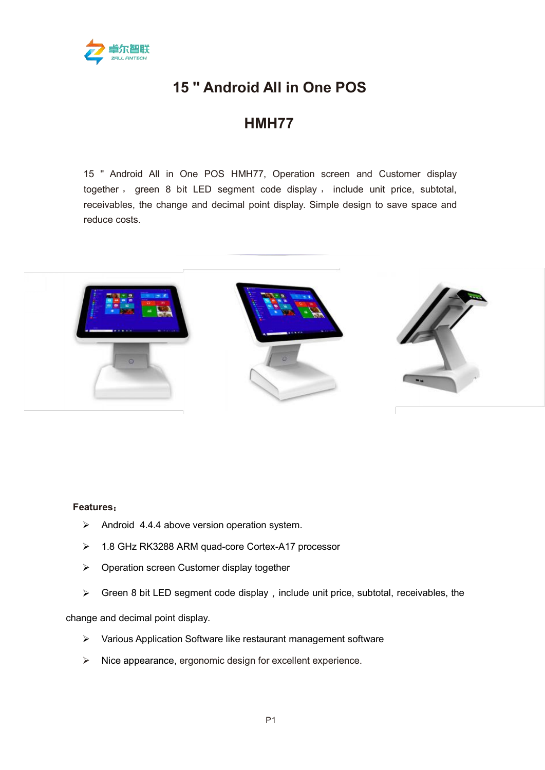

## **15 '' Android All in One POS**

## **HMH77**

15 '' Android All in One POS HMH77, Operation screen and Customer display together , green 8 bit LED segment code display , include unit price, subtotal, receivables, the change and decimal point display. Simple design to save space and reduce costs.



## **Features**:

- $\triangleright$  Android 4.4.4 above version operation system.
- > 1.8 GHz RK3288 ARM quad-core Cortex-A17 processor
- $\triangleright$  Operation screen Customer display together
- $\triangleright$  Green 8 bit LED segment code display, include unit price, subtotal, receivables, the

change and decimal point display.

- Various Application Software like restaurant management software
- $\triangleright$  Nice appearance, ergonomic design for excellent experience.